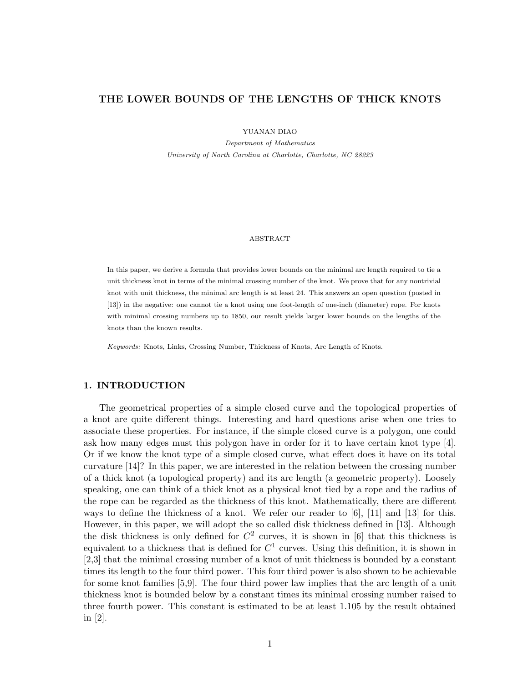# THE LOWER BOUNDS OF THE LENGTHS OF THICK KNOTS

YUANAN DIAO

Department of Mathematics University of North Carolina at Charlotte, Charlotte, NC 28223

#### ABSTRACT

In this paper, we derive a formula that provides lower bounds on the minimal arc length required to tie a unit thickness knot in terms of the minimal crossing number of the knot. We prove that for any nontrivial knot with unit thickness, the minimal arc length is at least 24. This answers an open question (posted in [13]) in the negative: one cannot tie a knot using one foot-length of one-inch (diameter) rope. For knots with minimal crossing numbers up to 1850, our result yields larger lower bounds on the lengths of the knots than the known results.

Keywords: Knots, Links, Crossing Number, Thickness of Knots, Arc Length of Knots.

## 1. INTRODUCTION

The geometrical properties of a simple closed curve and the topological properties of a knot are quite different things. Interesting and hard questions arise when one tries to associate these properties. For instance, if the simple closed curve is a polygon, one could ask how many edges must this polygon have in order for it to have certain knot type [4]. Or if we know the knot type of a simple closed curve, what effect does it have on its total curvature [14]? In this paper, we are interested in the relation between the crossing number of a thick knot (a topological property) and its arc length (a geometric property). Loosely speaking, one can think of a thick knot as a physical knot tied by a rope and the radius of the rope can be regarded as the thickness of this knot. Mathematically, there are different ways to define the thickness of a knot. We refer our reader to [6], [11] and [13] for this. However, in this paper, we will adopt the so called disk thickness defined in [13]. Although the disk thickness is only defined for  $C^2$  curves, it is shown in [6] that this thickness is equivalent to a thickness that is defined for  $C^1$  curves. Using this definition, it is shown in [2,3] that the minimal crossing number of a knot of unit thickness is bounded by a constant times its length to the four third power. This four third power is also shown to be achievable for some knot families [5,9]. The four third power law implies that the arc length of a unit thickness knot is bounded below by a constant times its minimal crossing number raised to three fourth power. This constant is estimated to be at least 1.105 by the result obtained in [2].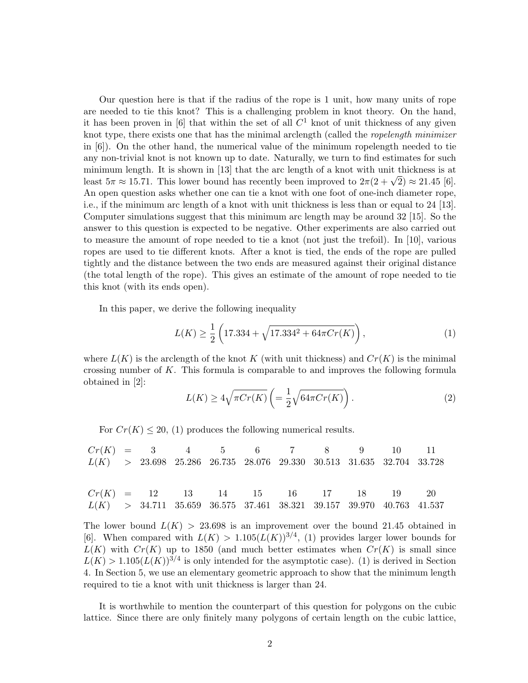Our question here is that if the radius of the rope is 1 unit, how many units of rope are needed to tie this knot? This is a challenging problem in knot theory. On the hand, it has been proven in [6] that within the set of all  $C<sup>1</sup>$  knot of unit thickness of any given knot type, there exists one that has the minimal arclength (called the ropelength minimizer in [6]). On the other hand, the numerical value of the minimum ropelength needed to tie any non-trivial knot is not known up to date. Naturally, we turn to find estimates for such minimum length. It is shown in [13] that the arc length of a knot with unit thickness is at minimum iength. It is shown in [15] that the arc length of a knot with unit thickness is at least  $5\pi \approx 15.71$ . This lower bound has recently been improved to  $2\pi(2 + \sqrt{2}) \approx 21.45$  [6]. An open question asks whether one can tie a knot with one foot of one-inch diameter rope, i.e., if the minimum arc length of a knot with unit thickness is less than or equal to 24 [13]. Computer simulations suggest that this minimum arc length may be around 32 [15]. So the answer to this question is expected to be negative. Other experiments are also carried out to measure the amount of rope needed to tie a knot (not just the trefoil). In [10], various ropes are used to tie different knots. After a knot is tied, the ends of the rope are pulled tightly and the distance between the two ends are measured against their original distance (the total length of the rope). This gives an estimate of the amount of rope needed to tie this knot (with its ends open).

In this paper, we derive the following inequality

$$
L(K) \ge \frac{1}{2} \left( 17.334 + \sqrt{17.334^2 + 64\pi Cr(K)} \right),\tag{1}
$$

where  $L(K)$  is the arclength of the knot K (with unit thickness) and  $Cr(K)$  is the minimal crossing number of K. This formula is comparable to and improves the following formula obtained in [2]:  $\overline{a}$  $\mathbf{r}$ 

$$
L(K) \ge 4\sqrt{\pi Cr(K)} \left( = \frac{1}{2} \sqrt{64\pi Cr(K)} \right). \tag{2}
$$

For  $Cr(K) \leq 20$ , (1) produces the following numerical results.

 $Cr(K) = 3$  4 5 6 7 8 9 10 11  $L(K)$  > 23.698 25.286 26.735 28.076 29.330 30.513 31.635 32.704 33.728  $Cr(K)$  = 12 13 14 15 16 17 18 19 20  $L(K)$  > 34.711 35.659 36.575 37.461 38.321 39.157 39.970 40.763 41.537

The lower bound  $L(K) > 23.698$  is an improvement over the bound 21.45 obtained in [6]. When compared with  $L(K) > 1.105(L(K))^{3/4}$ , (1) provides larger lower bounds for  $L(K)$  with  $Cr(K)$  up to 1850 (and much better estimates when  $Cr(K)$  is small since  $L(K) > 1.105(L(K))^{3/4}$  is only intended for the asymptotic case). (1) is derived in Section 4. In Section 5, we use an elementary geometric approach to show that the minimum length required to tie a knot with unit thickness is larger than 24.

It is worthwhile to mention the counterpart of this question for polygons on the cubic lattice. Since there are only finitely many polygons of certain length on the cubic lattice,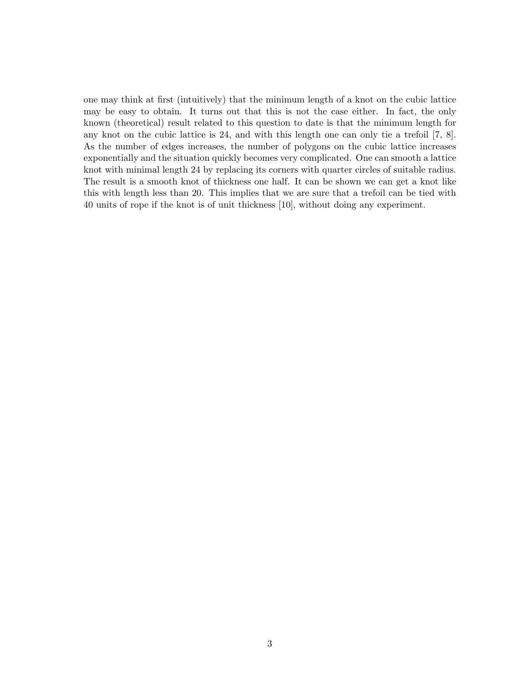one may think at first (intuitively) that the minimum length of a knot on the cubic lattice may be easy to obtain. It turns out that this is not the case either. In fact, the only known (theoretical) result related to this question to date is that the minimum length for any knot on the cubic lattice is 24, and with this length one can only tie a trefoil [7, 8]. As the number of edges increases, the number of polygons on the cubic lattice increases exponentially and the situation quickly becomes very complicated. One can smooth a lattice knot with minimal length 24 by replacing its corners with quarter circles of suitable radius. The result is a smooth knot of thickness one half. It can be shown we can get a knot like this with length less than 20. This implies that we are sure that a trefoil can be tied with 40 units of rope if the knot is of unit thickness [10], without doing any experiment.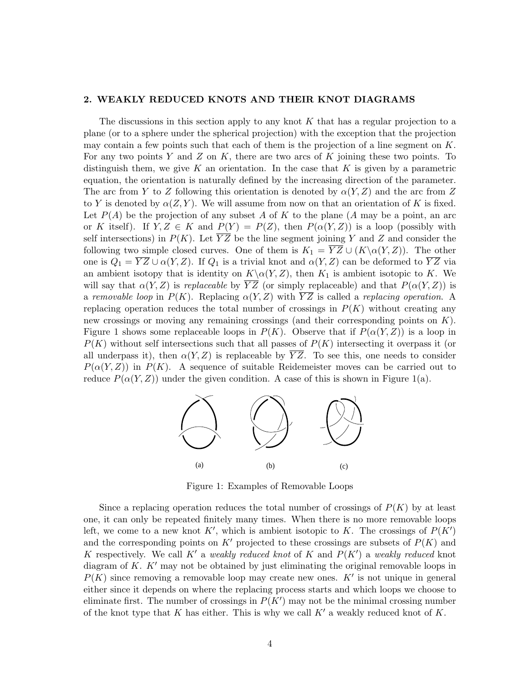#### 2. WEAKLY REDUCED KNOTS AND THEIR KNOT DIAGRAMS

The discussions in this section apply to any knot  $K$  that has a regular projection to a plane (or to a sphere under the spherical projection) with the exception that the projection may contain a few points such that each of them is the projection of a line segment on  $K$ . For any two points Y and Z on K, there are two arcs of K joining these two points. To distinguish them, we give K an orientation. In the case that K is given by a parametric equation, the orientation is naturally defined by the increasing direction of the parameter. The arc from Y to Z following this orientation is denoted by  $\alpha(Y, Z)$  and the arc from Z to Y is denoted by  $\alpha(Z, Y)$ . We will assume from now on that an orientation of K is fixed. Let  $P(A)$  be the projection of any subset A of K to the plane (A may be a point, an arc or K itself). If  $Y, Z \in K$  and  $P(Y) = P(Z)$ , then  $P(\alpha(Y, Z))$  is a loop (possibly with self intersections) in  $P(K)$ . Let  $\overline{YZ}$  be the line segment joining Y and Z and consider the following two simple closed curves. One of them is  $K_1 = \overline{YZ} \cup (K \setminus \alpha(Y, Z))$ . The other one is  $Q_1 = \overline{YZ} \cup \alpha(Y, Z)$ . If  $Q_1$  is a trivial knot and  $\alpha(Y, Z)$  can be deformed to  $\overline{YZ}$  via an ambient isotopy that is identity on  $K\setminus \alpha(Y, Z)$ , then  $K_1$  is ambient isotopic to K. We will say that  $\alpha(Y, Z)$  is *replaceable* by  $\overline{YZ}$  (or simply replaceable) and that  $P(\alpha(Y, Z))$  is a removable loop in  $P(K)$ . Replacing  $\alpha(Y, Z)$  with  $\overline{YZ}$  is called a replacing operation. A replacing operation reduces the total number of crossings in  $P(K)$  without creating any new crossings or moving any remaining crossings (and their corresponding points on K). Figure 1 shows some replaceable loops in  $P(K)$ . Observe that if  $P(\alpha(Y, Z))$  is a loop in  $P(K)$  without self intersections such that all passes of  $P(K)$  intersecting it overpass it (or all underpass it), then  $\alpha(Y, Z)$  is replaceable by  $\overline{YZ}$ . To see this, one needs to consider  $P(\alpha(Y, Z))$  in  $P(K)$ . A sequence of suitable Reidemeister moves can be carried out to reduce  $P(\alpha(Y, Z))$  under the given condition. A case of this is shown in Figure 1(a).



Figure 1: Examples of Removable Loops

Since a replacing operation reduces the total number of crossings of  $P(K)$  by at least one, it can only be repeated finitely many times. When there is no more removable loops left, we come to a new knot K', which is ambient isotopic to K. The crossings of  $P(K')$ and the corresponding points on K' projected to these crossings are subsets of  $P(K)$  and K respectively. We call K' a weakly reduced knot of K and  $P(K')$  a weakly reduced knot diagram of K.  $K'$  may not be obtained by just eliminating the original removable loops in  $P(K)$  since removing a removable loop may create new ones.  $K'$  is not unique in general either since it depends on where the replacing process starts and which loops we choose to eliminate first. The number of crossings in  $P(K')$  may not be the minimal crossing number of the knot type that K has either. This is why we call  $K'$  a weakly reduced knot of K.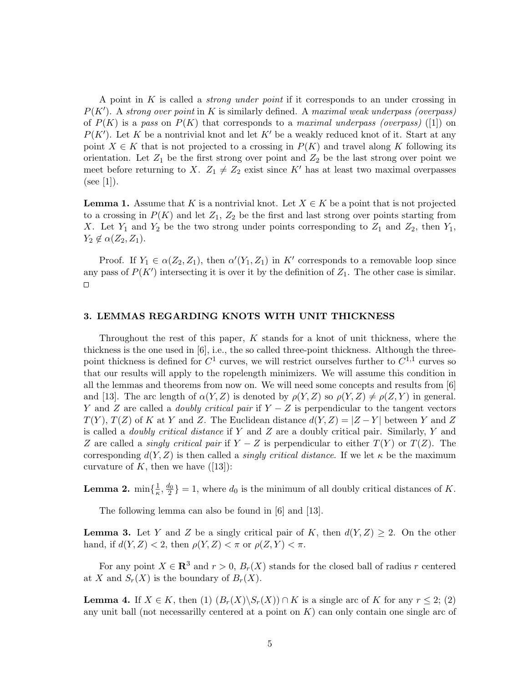A point in K is called a strong under point if it corresponds to an under crossing in  $P(K')$ . A strong over point in K is similarly defined. A maximal weak underpass (overpass) of  $P(K)$  is a pass on  $P(K)$  that corresponds to a maximal underpass (overpass) ([1]) on  $P(K')$ . Let K be a nontrivial knot and let K' be a weakly reduced knot of it. Start at any point  $X \in K$  that is not projected to a crossing in  $P(K)$  and travel along K following its orientation. Let  $Z_1$  be the first strong over point and  $Z_2$  be the last strong over point we meet before returning to X.  $Z_1 \neq Z_2$  exist since K' has at least two maximal overpasses  $(see [1]).$ 

**Lemma 1.** Assume that K is a nontrivial knot. Let  $X \in K$  be a point that is not projected to a crossing in  $P(K)$  and let  $Z_1, Z_2$  be the first and last strong over points starting from X. Let  $Y_1$  and  $Y_2$  be the two strong under points corresponding to  $Z_1$  and  $Z_2$ , then  $Y_1$ ,  $Y_2 \notin \alpha(Z_2, Z_1).$ 

Proof. If  $Y_1 \in \alpha(Z_2, Z_1)$ , then  $\alpha'(Y_1, Z_1)$  in K' corresponds to a removable loop since any pass of  $P(K')$  intersecting it is over it by the definition of  $Z_1$ . The other case is similar.  $\Box$ 

### 3. LEMMAS REGARDING KNOTS WITH UNIT THICKNESS

Throughout the rest of this paper, K stands for a knot of unit thickness, where the thickness is the one used in [6], i.e., the so called three-point thickness. Although the threepoint thickness is defined for  $C^1$  curves, we will restrict ourselves further to  $C^{1,1}$  curves so that our results will apply to the ropelength minimizers. We will assume this condition in all the lemmas and theorems from now on. We will need some concepts and results from [6] and [13]. The arc length of  $\alpha(Y, Z)$  is denoted by  $\rho(Y, Z)$  so  $\rho(Y, Z) \neq \rho(Z, Y)$  in general. Y and Z are called a *doubly critical pair* if  $Y - Z$  is perpendicular to the tangent vectors  $T(Y)$ ,  $T(Z)$  of K at Y and Z. The Euclidean distance  $d(Y, Z) = |Z - Y|$  between Y and Z is called a *doubly critical distance* if Y and Z are a doubly critical pair. Similarly, Y and Z are called a *singly critical pair* if  $Y - Z$  is perpendicular to either  $T(Y)$  or  $T(Z)$ . The corresponding  $d(Y, Z)$  is then called a *singly critical distance*. If we let  $\kappa$  be the maximum curvature of K, then we have  $([13])$ :

**Lemma 2.**  $\min\{\frac{1}{n}\}$  $\frac{1}{\kappa}, \frac{d_0}{2}$  = 1, where  $d_0$  is the minimum of all doubly critical distances of K.

The following lemma can also be found in [6] and [13].

**Lemma 3.** Let Y and Z be a singly critical pair of K, then  $d(Y, Z) \geq 2$ . On the other hand, if  $d(Y, Z) < 2$ , then  $\rho(Y, Z) < \pi$  or  $\rho(Z, Y) < \pi$ .

For any point  $X \in \mathbb{R}^3$  and  $r > 0$ ,  $B_r(X)$  stands for the closed ball of radius r centered at X and  $S_r(X)$  is the boundary of  $B_r(X)$ .

**Lemma 4.** If  $X \in K$ , then (1)  $(B_r(X) \setminus S_r(X)) \cap K$  is a single arc of K for any  $r \leq 2$ ; (2) any unit ball (not necessarily centered at a point on  $K$ ) can only contain one single arc of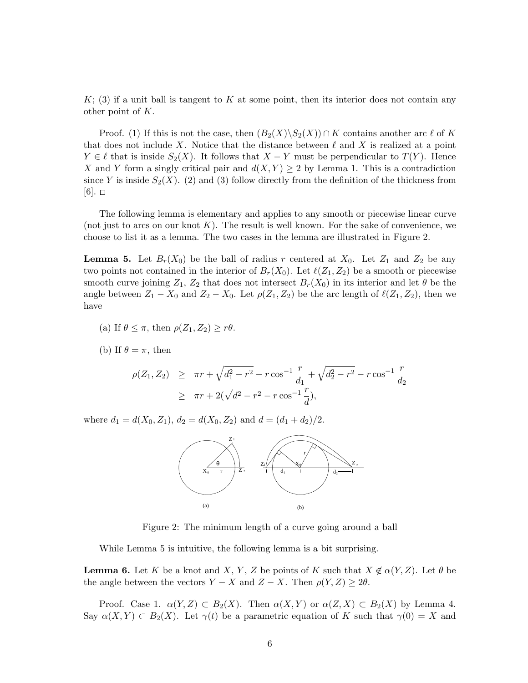$K$ ; (3) if a unit ball is tangent to K at some point, then its interior does not contain any other point of K.

Proof. (1) If this is not the case, then  $(B_2(X)\S_2(X))\cap K$  contains another arc  $\ell$  of K that does not include X. Notice that the distance between  $\ell$  and X is realized at a point  $Y \in \ell$  that is inside  $S_2(X)$ . It follows that  $X - Y$  must be perpendicular to  $T(Y)$ . Hence X and Y form a singly critical pair and  $d(X, Y) \geq 2$  by Lemma 1. This is a contradiction since Y is inside  $S_2(X)$ . (2) and (3) follow directly from the definition of the thickness from  $[6]$ .  $\square$ 

The following lemma is elementary and applies to any smooth or piecewise linear curve (not just to arcs on our knot  $K$ ). The result is well known. For the sake of convenience, we choose to list it as a lemma. The two cases in the lemma are illustrated in Figure 2.

**Lemma 5.** Let  $B_r(X_0)$  be the ball of radius r centered at  $X_0$ . Let  $Z_1$  and  $Z_2$  be any two points not contained in the interior of  $B_r(X_0)$ . Let  $\ell(Z_1, Z_2)$  be a smooth or piecewise smooth curve joining  $Z_1$ ,  $Z_2$  that does not intersect  $B_r(X_0)$  in its interior and let  $\theta$  be the angle between  $Z_1 - X_0$  and  $Z_2 - X_0$ . Let  $\rho(Z_1, Z_2)$  be the arc length of  $\ell(Z_1, Z_2)$ , then we have

- (a) If  $\theta \leq \pi$ , then  $\rho(Z_1, Z_2) \geq r\theta$ .
- (b) If  $\theta = \pi$ , then

$$
\rho(Z_1, Z_2) \geq \pi r + \sqrt{d_1^2 - r^2} - r \cos^{-1} \frac{r}{d_1} + \sqrt{d_2^2 - r^2} - r \cos^{-1} \frac{r}{d_2}
$$
  
 
$$
\geq \pi r + 2(\sqrt{d^2 - r^2} - r \cos^{-1} \frac{r}{d}),
$$

where  $d_1 = d(X_0, Z_1), d_2 = d(X_0, Z_2)$  and  $d = (d_1 + d_2)/2$ .



Figure 2: The minimum length of a curve going around a ball

While Lemma 5 is intuitive, the following lemma is a bit surprising.

**Lemma 6.** Let K be a knot and X, Y, Z be points of K such that  $X \notin \alpha(Y, Z)$ . Let  $\theta$  be the angle between the vectors  $Y - X$  and  $Z - X$ . Then  $\rho(Y, Z) \geq 2\theta$ .

Proof. Case 1.  $\alpha(Y, Z) \subset B_2(X)$ . Then  $\alpha(X, Y)$  or  $\alpha(Z, X) \subset B_2(X)$  by Lemma 4. Say  $\alpha(X, Y) \subset B_2(X)$ . Let  $\gamma(t)$  be a parametric equation of K such that  $\gamma(0) = X$  and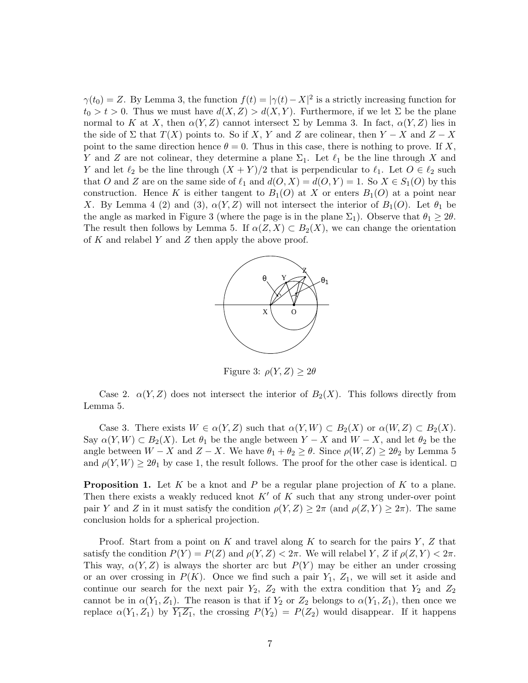$\gamma(t_0) = Z$ . By Lemma 3, the function  $f(t) = |\gamma(t) - X|^2$  is a strictly increasing function for  $t_0 > t > 0$ . Thus we must have  $d(X, Z) > d(X, Y)$ . Furthermore, if we let  $\Sigma$  be the plane normal to K at X, then  $\alpha(Y, Z)$  cannot intersect  $\Sigma$  by Lemma 3. In fact,  $\alpha(Y, Z)$  lies in the side of  $\Sigma$  that  $T(X)$  points to. So if X, Y and Z are colinear, then  $Y - X$  and  $Z - X$ point to the same direction hence  $\theta = 0$ . Thus in this case, there is nothing to prove. If X, Y and Z are not colinear, they determine a plane  $\Sigma_1$ . Let  $\ell_1$  be the line through X and Y and let  $\ell_2$  be the line through  $(X + Y)/2$  that is perpendicular to  $\ell_1$ . Let  $O \in \ell_2$  such that O and Z are on the same side of  $\ell_1$  and  $d(O, X) = d(O, Y) = 1$ . So  $X \in S_1(O)$  by this construction. Hence K is either tangent to  $B_1(O)$  at X or enters  $B_1(O)$  at a point near X. By Lemma 4 (2) and (3),  $\alpha(Y, Z)$  will not intersect the interior of  $B_1(O)$ . Let  $\theta_1$  be the angle as marked in Figure 3 (where the page is in the plane  $\Sigma_1$ ). Observe that  $\theta_1 \geq 2\theta$ . The result then follows by Lemma 5. If  $\alpha(Z, X) \subset B_2(X)$ , we can change the orientation of K and relabel Y and Z then apply the above proof.



Figure 3:  $\rho(Y, Z) \geq 2\theta$ 

Case 2.  $\alpha(Y, Z)$  does not intersect the interior of  $B_2(X)$ . This follows directly from Lemma 5.

Case 3. There exists  $W \in \alpha(Y, Z)$  such that  $\alpha(Y, W) \subset B_2(X)$  or  $\alpha(W, Z) \subset B_2(X)$ . Say  $\alpha(Y, W) \subset B_2(X)$ . Let  $\theta_1$  be the angle between  $Y - X$  and  $W - X$ , and let  $\theta_2$  be the angle between  $W - X$  and  $Z - X$ . We have  $\theta_1 + \theta_2 \ge \theta$ . Since  $\rho(W, Z) \ge 2\theta_2$  by Lemma 5 and  $\rho(Y, W) \geq 2\theta_1$  by case 1, the result follows. The proof for the other case is identical.  $\Box$ 

**Proposition 1.** Let K be a knot and P be a regular plane projection of K to a plane. Then there exists a weakly reduced knot  $K'$  of K such that any strong under-over point pair Y and Z in it must satisfy the condition  $\rho(Y, Z) \geq 2\pi$  (and  $\rho(Z, Y) \geq 2\pi$ ). The same conclusion holds for a spherical projection.

Proof. Start from a point on K and travel along K to search for the pairs  $Y, Z$  that satisfy the condition  $P(Y) = P(Z)$  and  $\rho(Y, Z) < 2\pi$ . We will relabel Y, Z if  $\rho(Z, Y) < 2\pi$ . This way,  $\alpha(Y, Z)$  is always the shorter arc but  $P(Y)$  may be either an under crossing or an over crossing in  $P(K)$ . Once we find such a pair  $Y_1$ ,  $Z_1$ , we will set it aside and continue our search for the next pair  $Y_2$ ,  $Z_2$  with the extra condition that  $Y_2$  and  $Z_2$ cannot be in  $\alpha(Y_1, Z_1)$ . The reason is that if  $Y_2$  or  $Z_2$  belongs to  $\alpha(Y_1, Z_1)$ , then once we replace  $\alpha(Y_1, Z_1)$  by  $\overline{Y_1Z_1}$ , the crossing  $P(Y_2) = P(Z_2)$  would disappear. If it happens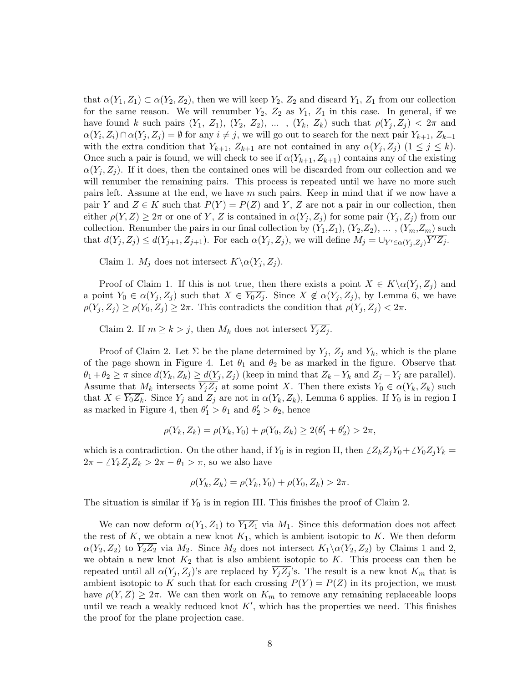that  $\alpha(Y_1, Z_1) \subset \alpha(Y_2, Z_2)$ , then we will keep  $Y_2, Z_2$  and discard  $Y_1, Z_1$  from our collection for the same reason. We will renumber  $Y_2$ ,  $Z_2$  as  $Y_1$ ,  $Z_1$  in this case. In general, if we have found k such pairs  $(Y_1, Z_1), (Y_2, Z_2), \ldots, (Y_k, Z_k)$  such that  $\rho(Y_j, Z_j) < 2\pi$  and  $\alpha(Y_i, Z_i) \cap \alpha(Y_j, Z_j) = \emptyset$  for any  $i \neq j$ , we will go out to search for the next pair  $Y_{k+1}, Z_{k+1}$ with the extra condition that  $Y_{k+1}$ ,  $Z_{k+1}$  are not contained in any  $\alpha(Y_i, Z_i)$   $(1 \leq j \leq k)$ . Once such a pair is found, we will check to see if  $\alpha(Y_{k+1}, Z_{k+1})$  contains any of the existing  $\alpha(Y_j, Z_j)$ . If it does, then the contained ones will be discarded from our collection and we will renumber the remaining pairs. This process is repeated until we have no more such pairs left. Assume at the end, we have m such pairs. Keep in mind that if we now have a pair Y and  $Z \in K$  such that  $P(Y) = P(Z)$  and Y, Z are not a pair in our collection, then either  $\rho(Y, Z) \geq 2\pi$  or one of Y, Z is contained in  $\alpha(Y_j, Z_j)$  for some pair  $(Y_j, Z_j)$  from our collection. Renumber the pairs in our final collection by  $(Y_1, Z_1), (Y_2, Z_2), \ldots, (Y_m, Z_m)$  such that  $d(Y_j, Z_j) \leq d(Y_{j+1}, Z_{j+1})$ . For each  $\alpha(Y_j, Z_j)$ , we will define  $M_j = \bigcup_{Y' \in \alpha(Y_j, Z_j)} \overline{Y'Z_j}$ .

Claim 1.  $M_j$  does not intersect  $K \setminus \alpha(Y_j, Z_j)$ .

Proof of Claim 1. If this is not true, then there exists a point  $X \in K \backslash \alpha(Y_i, Z_i)$  and a point  $Y_0 \in \alpha(Y_i, Z_i)$  such that  $X \in \overline{Y_0Z_i}$ . Since  $X \notin \alpha(Y_i, Z_i)$ , by Lemma 6, we have  $\rho(Y_j, Z_j) \geq \rho(Y_0, Z_j) \geq 2\pi$ . This contradicts the condition that  $\rho(Y_j, Z_j) < 2\pi$ .

Claim 2. If  $m \ge k > j$ , then  $M_k$  does not intersect  $\overline{Y_i Z_i}$ .

Proof of Claim 2. Let  $\Sigma$  be the plane determined by  $Y_j$ ,  $Z_j$  and  $Y_k$ , which is the plane of the page shown in Figure 4. Let  $\theta_1$  and  $\theta_2$  be as marked in the figure. Observe that  $\theta_1 + \theta_2 \geq \pi$  since  $d(Y_k, Z_k) \geq d(Y_j, Z_j)$  (keep in mind that  $Z_k - Y_k$  and  $Z_j - Y_j$  are parallel). Assume that  $M_k$  intersects  $\overline{Y_jZ_j}$  at some point X. Then there exists  $Y_0 \in \alpha(Y_k, Z_k)$  such that  $X \in Y_0Z_k$ . Since  $Y_j$  and  $Z_j$  are not in  $\alpha(Y_k, Z_k)$ , Lemma 6 applies. If  $Y_0$  is in region I as marked in Figure 4, then  $\theta'_1 > \theta_1$  and  $\theta'_2 > \theta_2$ , hence

$$
\rho(Y_k, Z_k) = \rho(Y_k, Y_0) + \rho(Y_0, Z_k) \ge 2(\theta'_1 + \theta'_2) > 2\pi,
$$

which is a contradiction. On the other hand, if  $Y_0$  is in region II, then  $\angle Z_kZ_jY_0+\angle Y_0Z_jY_k =$  $2\pi - \angle Y_k Z_j Z_k > 2\pi - \theta_1 > \pi$ , so we also have

$$
\rho(Y_k, Z_k) = \rho(Y_k, Y_0) + \rho(Y_0, Z_k) > 2\pi.
$$

The situation is similar if  $Y_0$  is in region III. This finishes the proof of Claim 2.

We can now deform  $\alpha(Y_1, Z_1)$  to  $\overline{Y_1 Z_1}$  via  $M_1$ . Since this deformation does not affect the rest of  $K$ , we obtain a new knot  $K_1$ , which is ambient isotopic to  $K$ . We then deform  $\alpha(Y_2, Z_2)$  to  $\overline{Y_2Z_2}$  via  $M_2$ . Since  $M_2$  does not intersect  $K_1\backslash \alpha(Y_2, Z_2)$  by Claims 1 and 2, we obtain a new knot  $K_2$  that is also ambient isotopic to K. This process can then be repeated until all  $\alpha(Y_i, Z_i)$ 's are replaced by  $Y_i Z_i$ 's. The result is a new knot  $K_m$  that is ambient isotopic to K such that for each crossing  $P(Y) = P(Z)$  in its projection, we must have  $\rho(Y, Z) \geq 2\pi$ . We can then work on  $K_m$  to remove any remaining replaceable loops until we reach a weakly reduced knot  $K'$ , which has the properties we need. This finishes the proof for the plane projection case.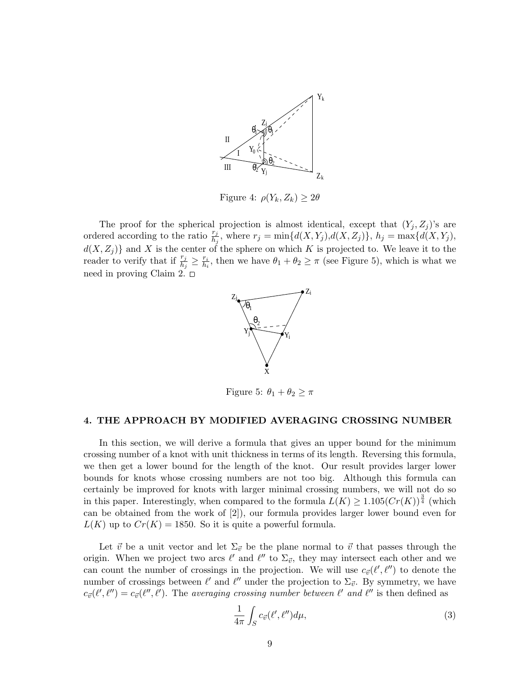

Figure 4:  $\rho(Y_k, Z_k) \geq 2\theta$ 

The proof for the spherical projection is almost identical, except that  $(Y_j, Z_j)$ 's are ordered according to the ratio  $\frac{r_j}{h_j}$ , where  $r_j = \min\{d(X,Y_j),d(X,Z_j)\},\ h_j = \max\{d(X,Y_j),$  $d(X, Z_j)$  and X is the center of the sphere on which K is projected to. We leave it to the reader to verify that if  $\frac{r_j}{h_j} \geq \frac{r_i}{h_i}$  $\frac{r_i}{h_i}$ , then we have  $\theta_1 + \theta_2 \geq \pi$  (see Figure 5), which is what we need in proving Claim 2.  $\square$ 



Figure 5:  $\theta_1 + \theta_2 \geq \pi$ 

## 4. THE APPROACH BY MODIFIED AVERAGING CROSSING NUMBER

In this section, we will derive a formula that gives an upper bound for the minimum crossing number of a knot with unit thickness in terms of its length. Reversing this formula, we then get a lower bound for the length of the knot. Our result provides larger lower bounds for knots whose crossing numbers are not too big. Although this formula can certainly be improved for knots with larger minimal crossing numbers, we will not do so in this paper. Interestingly, when compared to the formula  $\widetilde{L(K)} \geq 1.105(Cr(K))^{\frac{3}{4}}$  (which can be obtained from the work of [2]), our formula provides larger lower bound even for  $L(K)$  up to  $Cr(K) = 1850$ . So it is quite a powerful formula.

Let  $\vec{v}$  be a unit vector and let  $\Sigma_{\vec{v}}$  be the plane normal to  $\vec{v}$  that passes through the origin. When we project two arcs  $\ell'$  and  $\ell''$  to  $\Sigma_{\vec{v}}$ , they may intersect each other and we can count the number of crossings in the projection. We will use  $c_{\vec{v}}(\ell', \ell'')$  to denote the number of crossings between  $\ell'$  and  $\ell''$  under the projection to  $\Sigma_{\vec{v}}$ . By symmetry, we have  $c_{\vec{v}}(\ell',\ell'') = c_{\vec{v}}(\ell'',\ell').$  The averaging crossing number between  $\ell'$  and  $\ell''$  is then defined as

$$
\frac{1}{4\pi} \int_{S} c_{\vec{v}}(\ell', \ell'') d\mu,\tag{3}
$$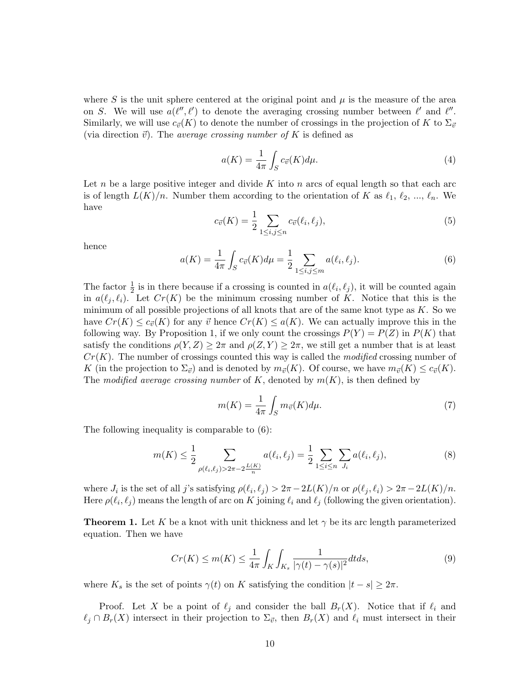where S is the unit sphere centered at the original point and  $\mu$  is the measure of the area on S. We will use  $a(\ell'', \ell')$  to denote the averaging crossing number between  $\ell'$  and  $\ell''$ . Similarly, we will use  $c_{\vec{v}}(K)$  to denote the number of crossings in the projection of K to  $\Sigma_{\vec{v}}$ (via direction  $\vec{v}$ ). The *average crossing number of* K is defined as

$$
a(K) = \frac{1}{4\pi} \int_{S} c_{\vec{v}}(K) d\mu.
$$
\n<sup>(4)</sup>

Let n be a large positive integer and divide K into n arcs of equal length so that each arc is of length  $L(K)/n$ . Number them according to the orientation of K as  $\ell_1, \ell_2, ..., \ell_n$ . We have

$$
c_{\vec{v}}(K) = \frac{1}{2} \sum_{1 \le i,j \le n} c_{\vec{v}}(\ell_i, \ell_j),\tag{5}
$$

hence

$$
a(K) = \frac{1}{4\pi} \int_{S} c_{\vec{v}}(K) d\mu = \frac{1}{2} \sum_{1 \le i,j \le m} a(\ell_i, \ell_j).
$$
 (6)

The factor  $\frac{1}{2}$  is in there because if a crossing is counted in  $a(\ell_i, \ell_j)$ , it will be counted again in  $a(\ell_i, \ell_i)$ . Let  $Cr(K)$  be the minimum crossing number of K. Notice that this is the minimum of all possible projections of all knots that are of the same knot type as  $K$ . So we have  $Cr(K) \leq c_{\vec{v}}(K)$  for any  $\vec{v}$  hence  $Cr(K) \leq a(K)$ . We can actually improve this in the following way. By Proposition 1, if we only count the crossings  $P(Y) = P(Z)$  in  $P(K)$  that satisfy the conditions  $\rho(Y, Z) \geq 2\pi$  and  $\rho(Z, Y) \geq 2\pi$ , we still get a number that is at least  $Cr(K)$ . The number of crossings counted this way is called the *modified* crossing number of K (in the projection to  $\Sigma_{\vec{v}}$ ) and is denoted by  $m_{\vec{v}}(K)$ . Of course, we have  $m_{\vec{v}}(K) \leq c_{\vec{v}}(K)$ . The modified average crossing number of K, denoted by  $m(K)$ , is then defined by

$$
m(K) = \frac{1}{4\pi} \int_{S} m_{\vec{v}}(K) d\mu.
$$
 (7)

The following inequality is comparable to (6):

$$
m(K) \le \frac{1}{2} \sum_{\rho(\ell_i,\ell_j) > 2\pi - 2} a(\ell_i,\ell_j) = \frac{1}{2} \sum_{1 \le i \le n} \sum_{J_i} a(\ell_i,\ell_j),\tag{8}
$$

where  $J_i$  is the set of all j's satisfying  $\rho(\ell_i, \ell_j) > 2\pi - 2L(K)/n$  or  $\rho(\ell_j, \ell_i) > 2\pi - 2L(K)/n$ . Here  $\rho(\ell_i, \ell_j)$  means the length of arc on K joining  $\ell_i$  and  $\ell_j$  (following the given orientation).

**Theorem 1.** Let K be a knot with unit thickness and let  $\gamma$  be its arc length parameterized equation. Then we have

$$
Cr(K) \le m(K) \le \frac{1}{4\pi} \int_K \int_{K_s} \frac{1}{|\gamma(t) - \gamma(s)|^2} dt ds,
$$
\n<sup>(9)</sup>

where  $K_s$  is the set of points  $\gamma(t)$  on K satisfying the condition  $|t - s| \geq 2\pi$ .

Proof. Let X be a point of  $\ell_i$  and consider the ball  $B_r(X)$ . Notice that if  $\ell_i$  and  $\ell_j \cap B_r(X)$  intersect in their projection to  $\Sigma_{\vec{v}}$ , then  $B_r(X)$  and  $\ell_i$  must intersect in their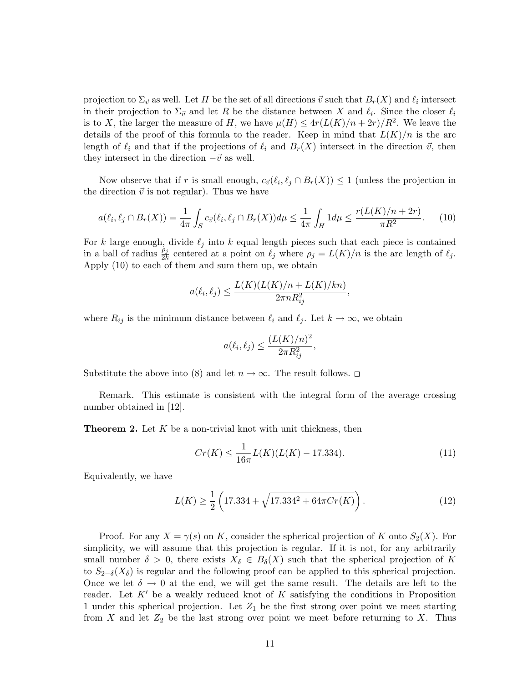projection to  $\Sigma_{\vec{v}}$  as well. Let H be the set of all directions  $\vec{v}$  such that  $B_r(X)$  and  $\ell_i$  intersect in their projection to  $\Sigma_{\vec{v}}$  and let R be the distance between X and  $\ell_i$ . Since the closer  $\ell_i$ is to X, the larger the measure of H, we have  $\mu(H) \leq 4r(L(K)/n + 2r)/R^2$ . We leave the details of the proof of this formula to the reader. Keep in mind that  $L(K)/n$  is the arc length of  $\ell_i$  and that if the projections of  $\ell_i$  and  $B_r(X)$  intersect in the direction  $\vec{v}$ , then they intersect in the direction  $-\vec{v}$  as well.

Now observe that if r is small enough,  $c_{\vec{v}}(\ell_i, \ell_j \cap B_r(X)) \leq 1$  (unless the projection in the direction  $\vec{v}$  is not regular). Thus we have

$$
a(\ell_i, \ell_j \cap B_r(X)) = \frac{1}{4\pi} \int_S c_{\vec{v}}(\ell_i, \ell_j \cap B_r(X)) d\mu \le \frac{1}{4\pi} \int_H 1 d\mu \le \frac{r(L(K)/n + 2r)}{\pi R^2}.
$$
 (10)

For k large enough, divide  $\ell_j$  into k equal length pieces such that each piece is contained in a ball of radius  $\frac{\rho_j}{2k}$  centered at a point on  $\ell_j$  where  $\rho_j = L(K)/n$  is the arc length of  $\ell_j$ . Apply (10) to each of them and sum them up, we obtain

$$
a(\ell_i, \ell_j) \le \frac{L(K)(L(K)/n + L(K)/kn)}{2\pi n R_{ij}^2},
$$

where  $R_{ij}$  is the minimum distance between  $\ell_i$  and  $\ell_j$ . Let  $k \to \infty$ , we obtain

$$
a(\ell_i, \ell_j) \le \frac{(L(K)/n)^2}{2\pi R_{ij}^2},
$$

Substitute the above into (8) and let  $n \to \infty$ . The result follows.  $\Box$ 

Remark. This estimate is consistent with the integral form of the average crossing number obtained in [12].

**Theorem 2.** Let  $K$  be a non-trivial knot with unit thickness, then

$$
Cr(K) \le \frac{1}{16\pi}L(K)(L(K) - 17.334). \tag{11}
$$

Equivalently, we have

$$
L(K) \ge \frac{1}{2} \left( 17.334 + \sqrt{17.334^2 + 64\pi C r(K)} \right). \tag{12}
$$

Proof. For any  $X = \gamma(s)$  on K, consider the spherical projection of K onto  $S_2(X)$ . For simplicity, we will assume that this projection is regular. If it is not, for any arbitrarily small number  $\delta > 0$ , there exists  $X_{\delta} \in B_{\delta}(X)$  such that the spherical projection of K to  $S_{2-\delta}(X_{\delta})$  is regular and the following proof can be applied to this spherical projection. Once we let  $\delta \to 0$  at the end, we will get the same result. The details are left to the reader. Let  $K'$  be a weakly reduced knot of K satisfying the conditions in Proposition 1 under this spherical projection. Let  $Z_1$  be the first strong over point we meet starting from X and let  $Z_2$  be the last strong over point we meet before returning to X. Thus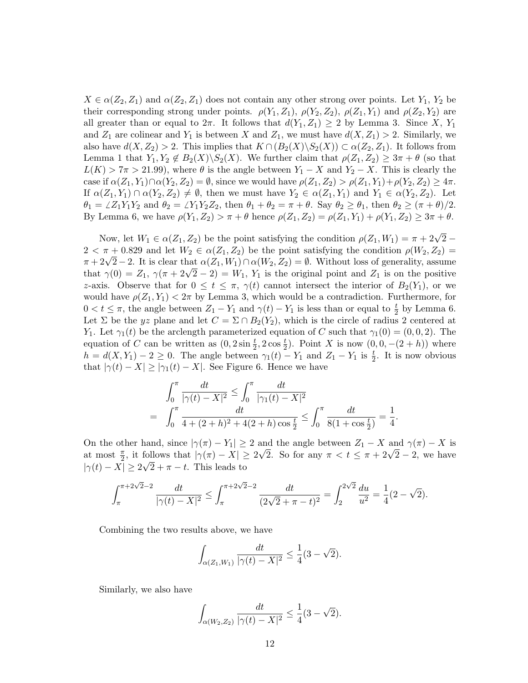$X \in \alpha(Z_2, Z_1)$  and  $\alpha(Z_2, Z_1)$  does not contain any other strong over points. Let  $Y_1, Y_2$  be their corresponding strong under points.  $\rho(Y_1, Z_1)$ ,  $\rho(Y_2, Z_2)$ ,  $\rho(Z_1, Y_1)$  and  $\rho(Z_2, Y_2)$  are all greater than or equal to  $2\pi$ . It follows that  $d(Y_1, Z_1) \geq 2$  by Lemma 3. Since X, Y<sub>1</sub> and  $Z_1$  are colinear and  $Y_1$  is between X and  $Z_1$ , we must have  $d(X, Z_1) > 2$ . Similarly, we also have  $d(X, Z_2) > 2$ . This implies that  $K \cap (B_2(X) \backslash S_2(X)) \subset \alpha(Z_2, Z_1)$ . It follows from Lemma 1 that  $Y_1, Y_2 \notin B_2(X) \backslash S_2(X)$ . We further claim that  $\rho(Z_1, Z_2) \geq 3\pi + \theta$  (so that  $L(K) > 7\pi > 21.99$ , where  $\theta$  is the angle between  $Y_1 - X$  and  $Y_2 - X$ . This is clearly the case if  $\alpha(Z_1, Y_1) \cap \alpha(Y_2, Z_2) = \emptyset$ , since we would have  $\rho(Z_1, Z_2) > \rho(Z_1, Y_1) + \rho(Y_2, Z_2) \geq 4\pi$ . If  $\alpha(Z_1, Y_1) \cap \alpha(Y_2, Z_2) \neq \emptyset$ , then we must have  $Y_2 \in \alpha(Z_1, Y_1)$  and  $Y_1 \in \alpha(Y_2, Z_2)$ . Let  $\theta_1 = \angle Z_1Y_1Y_2$  and  $\theta_2 = \angle Y_1Y_2Z_2$ , then  $\theta_1 + \theta_2 = \pi + \theta$ . Say  $\theta_2 \ge \theta_1$ , then  $\theta_2 \ge (\pi + \theta)/2$ . By Lemma 6, we have  $\rho(Y_1, Z_2) > \pi + \theta$  hence  $\rho(Z_1, Z_2) = \rho(Z_1, Y_1) + \rho(Y_1, Z_2) \geq 3\pi + \theta$ .

Now, let  $W_1 \in \alpha(Z_1, Z_2)$  be the point satisfying the condition  $\rho(Z_1, W_1) = \pi + 2\sqrt{2} - \pi$  $2 < \pi + 0.829$  and let  $W_2 \in \alpha(Z_1, Z_2)$  be the point satisfying the condition  $\rho(W_2, Z_2)$  $2 < \pi + 0.829$  and let  $W_2 \in \alpha(Z_1, Z_2)$  be the point satisfying the condition  $\rho(W_2, Z_2) = \pi + 2\sqrt{2} - 2$ . It is clear that  $\alpha(Z_1, W_1) \cap \alpha(W_2, Z_2) = \emptyset$ . Without loss of generality, assume  $\pi + 2\sqrt{2} - 2$ . It is clear that  $\alpha(\overline{2}_1, W_1) + \alpha(W_2, Z_2) = \emptyset$ . Without loss of generality, assume that  $\gamma(0) = Z_1$ ,  $\gamma(\pi + 2\sqrt{2} - 2) = W_1$ ,  $Y_1$  is the original point and  $Z_1$  is on the positive z-axis. Observe that for  $0 \le t \le \pi$ ,  $\gamma(t)$  cannot intersect the interior of  $B_2(Y_1)$ , or we would have  $\rho(Z_1, Y_1) < 2\pi$  by Lemma 3, which would be a contradiction. Furthermore, for  $0 < t \leq \pi$ , the angle between  $Z_1 - Y_1$  and  $\gamma(t) - Y_1$  is less than or equal to  $\frac{t}{2}$  by Lemma 6. Let  $\Sigma$  be the yz plane and let  $C = \Sigma \cap B_2(Y_2)$ , which is the circle of radius 2 centered at Y<sub>1</sub>. Let  $\gamma_1(t)$  be the arclength parameterized equation of C such that  $\gamma_1(0) = (0, 0, 2)$ . The equation of C can be written as  $(0, 2\sin\frac{t}{2}, 2\cos\frac{t}{2})$ . Point X is now  $(0, 0, -(2 + h))$  where  $h = d(X, Y_1) - 2 \geq 0$ . The angle between  $\gamma_1(t) - Y_1$  and  $Z_1 - Y_1$  is  $\frac{t}{2}$ . It is now obvious that  $|\gamma(t) - X| \geq |\gamma_1(t) - X|$ . See Figure 6. Hence we have

$$
\int_0^{\pi} \frac{dt}{|\gamma(t) - X|^2} \le \int_0^{\pi} \frac{dt}{|\gamma_1(t) - X|^2}
$$
  
= 
$$
\int_0^{\pi} \frac{dt}{4 + (2 + h)^2 + 4(2 + h)\cos\frac{t}{2}} \le \int_0^{\pi} \frac{dt}{8(1 + \cos\frac{t}{2})} = \frac{1}{4}.
$$

On the other hand, since  $|\gamma(\pi) - Y_1| \geq 2$  and the angle between  $Z_1 - X$  and  $\gamma(\pi) - X$  is On the other nand, since  $|\gamma(\pi) - Y_1| \geq 2$  and the angle between  $Z_1 - X$  and  $\gamma(\pi) - X$  is<br>at most  $\frac{\pi}{2}$ , it follows that  $|\gamma(\pi) - X| \geq 2\sqrt{2}$ . So for any  $\pi < t \leq \pi + 2\sqrt{2} - 2$ , we have  $|\gamma(t) - X| \geq 2\sqrt{2} + \pi - t$ . This leads to

$$
\int_{\pi}^{\pi+2\sqrt{2}-2} \frac{dt}{|\gamma(t)-X|^2} \leq \int_{\pi}^{\pi+2\sqrt{2}-2} \frac{dt}{(2\sqrt{2}+\pi-t)^2} = \int_{2}^{2\sqrt{2}} \frac{du}{u^2} = \frac{1}{4}(2-\sqrt{2}).
$$

Combining the two results above, we have

$$
\int_{\alpha(Z_1,W_1)} \frac{dt}{|\gamma(t)-X|^2} \leq \frac{1}{4}(3-\sqrt{2}).
$$

Similarly, we also have

$$
\int_{\alpha(W_2,Z_2)} \frac{dt}{|\gamma(t)-X|^2} \leq \frac{1}{4}(3-\sqrt{2}).
$$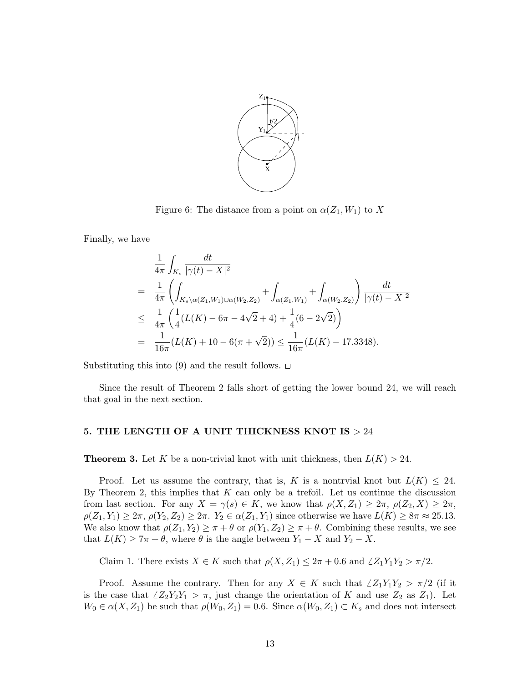

Figure 6: The distance from a point on  $\alpha(Z_1, W_1)$  to X

Finally, we have

$$
\frac{1}{4\pi} \int_{K_s} \frac{dt}{|\gamma(t) - X|^2}
$$
\n
$$
= \frac{1}{4\pi} \left( \int_{K_s \backslash \alpha(Z_1, W_1) \cup \alpha(W_2, Z_2)} + \int_{\alpha(Z_1, W_1)} + \int_{\alpha(W_2, Z_2)} \right) \frac{dt}{|\gamma(t) - X|^2}
$$
\n
$$
\leq \frac{1}{4\pi} \left( \frac{1}{4} (L(K) - 6\pi - 4\sqrt{2} + 4) + \frac{1}{4} (6 - 2\sqrt{2}) \right)
$$
\n
$$
= \frac{1}{16\pi} (L(K) + 10 - 6(\pi + \sqrt{2})) \leq \frac{1}{16\pi} (L(K) - 17.3348).
$$

Substituting this into (9) and the result follows.  $\Box$ 

Since the result of Theorem 2 falls short of getting the lower bound 24, we will reach that goal in the next section.

## 5. THE LENGTH OF A UNIT THICKNESS KNOT IS  $> 24$

**Theorem 3.** Let K be a non-trivial knot with unit thickness, then  $L(K) > 24$ .

Proof. Let us assume the contrary, that is, K is a nontrvial knot but  $L(K) \leq 24$ . By Theorem 2, this implies that  $K$  can only be a trefoil. Let us continue the discussion from last section. For any  $X = \gamma(s) \in K$ , we know that  $\rho(X, Z_1) \geq 2\pi$ ,  $\rho(Z_2, X) \geq 2\pi$ ,  $\rho(Z_1, Y_1) \geq 2\pi$ ,  $\rho(Y_2, Z_2) \geq 2\pi$ .  $Y_2 \in \alpha(Z_1, Y_1)$  since otherwise we have  $L(K) \geq 8\pi \approx 25.13$ . We also know that  $\rho(Z_1, Y_2) \geq \pi + \theta$  or  $\rho(Y_1, Z_2) \geq \pi + \theta$ . Combining these results, we see that  $L(K) \geq 7\pi + \theta$ , where  $\theta$  is the angle between  $Y_1 - X$  and  $Y_2 - X$ .

Claim 1. There exists  $X \in K$  such that  $\rho(X, Z_1) \leq 2\pi + 0.6$  and  $\angle Z_1Y_1Y_2 > \pi/2$ .

Proof. Assume the contrary. Then for any  $X \in K$  such that  $\angle Z_1Y_1Y_2 > \pi/2$  (if it is the case that  $\angle Z_2Y_2Y_1 > \pi$ , just change the orientation of K and use  $Z_2$  as  $Z_1$ ). Let  $W_0 \in \alpha(X, Z_1)$  be such that  $\rho(W_0, Z_1) = 0.6$ . Since  $\alpha(W_0, Z_1) \subset K_s$  and does not intersect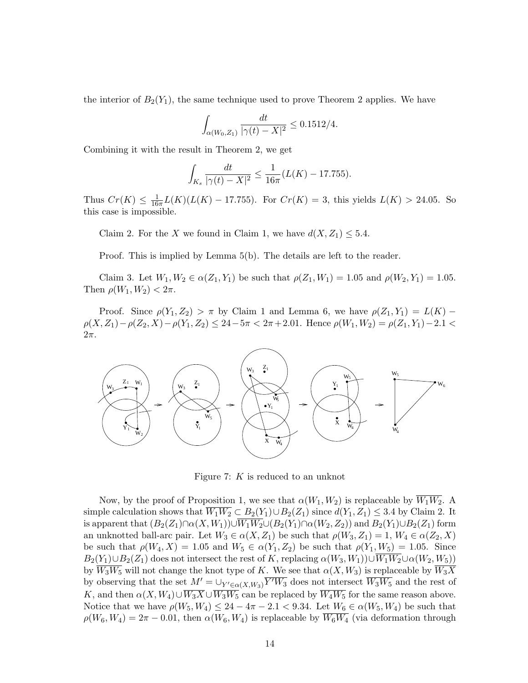the interior of  $B_2(Y_1)$ , the same technique used to prove Theorem 2 applies. We have

$$
\int_{\alpha(W_0, Z_1)} \frac{dt}{|\gamma(t) - X|^2} \le 0.1512/4.
$$

Combining it with the result in Theorem 2, we get

$$
\int_{K_s} \frac{dt}{|\gamma(t) - X|^2} \le \frac{1}{16\pi} (L(K) - 17.755).
$$

Thus  $Cr(K) \leq \frac{1}{16}$  $\frac{1}{16\pi}L(K)(L(K) - 17.755)$ . For  $Cr(K) = 3$ , this yields  $L(K) > 24.05$ . So this case is impossible.

Claim 2. For the X we found in Claim 1, we have  $d(X, Z_1) \leq 5.4$ .

Proof. This is implied by Lemma 5(b). The details are left to the reader.

Claim 3. Let  $W_1, W_2 \in \alpha(Z_1, Y_1)$  be such that  $\rho(Z_1, W_1) = 1.05$  and  $\rho(W_2, Y_1) = 1.05$ . Then  $\rho(W_1, W_2) < 2\pi$ .

Proof. Since  $\rho(Y_1, Z_2) > \pi$  by Claim 1 and Lemma 6, we have  $\rho(Z_1, Y_1) = L(K)$  $\rho(X, Z_1) - \rho(Z_2, X) - \rho(Y_1, Z_2) \leq 24 - 5\pi < 2\pi + 2.01$ . Hence  $\rho(W_1, W_2) = \rho(Z_1, Y_1) - 2.1$  $2\pi$ .



Figure 7: K is reduced to an unknot

Now, by the proof of Proposition 1, we see that  $\alpha(W_1, W_2)$  is replaceable by  $\overline{W_1W_2}$ . A simple calculation shows that  $\overline{W_1W_2} \subset B_2(Y_1) \cup B_2(Z_1)$  since  $d(Y_1, Z_1) \leq 3.4$  by Claim 2. It is apparent that  $(B_2(Z_1)\cap \alpha(X,W_1))\cup \overline{W_1W_2}\cup (B_2(Y_1)\cap \alpha(W_2,Z_2))$  and  $B_2(Y_1)\cup B_2(Z_1)$  form an unknotted ball-arc pair. Let  $W_3 \in \alpha(X, Z_1)$  be such that  $\rho(W_3, Z_1) = 1, W_4 \in \alpha(Z_2, X)$ be such that  $\rho(W_4, X) = 1.05$  and  $W_5 \in \alpha(Y_1, Z_2)$  be such that  $\rho(Y_1, W_5) = 1.05$ . Since  $B_2(Y_1)\cup B_2(Z_1)$  does not intersect the rest of K, replacing  $\alpha(W_3, W_1)\cup \overline{W_1W_2}\cup \alpha(W_2, W_5)$ by  $\overline{W_3W_5}$  will not change the knot type of K. We see that  $\alpha(X, W_3)$  is replaceable by  $\overline{W_3X}$ by observing that the set  $M' = \bigcup_{Y' \in \alpha(X,W_3)} \overline{Y'W_3}$  does not intersect  $\overline{W_3W_5}$  and the rest of K, and then  $\alpha(X, W_4) \cup \overline{W_3X} \cup \overline{W_3W_5}$  can be replaced by  $\overline{W_4W_5}$  for the same reason above. Notice that we have  $\rho(W_5, W_4) \leq 24 - 4\pi - 2.1 < 9.34$ . Let  $W_6 \in \alpha(W_5, W_4)$  be such that  $\rho(W_6, W_4) = 2\pi - 0.01$ , then  $\alpha(W_6, W_4)$  is replaceable by  $\overline{W_6W_4}$  (via deformation through